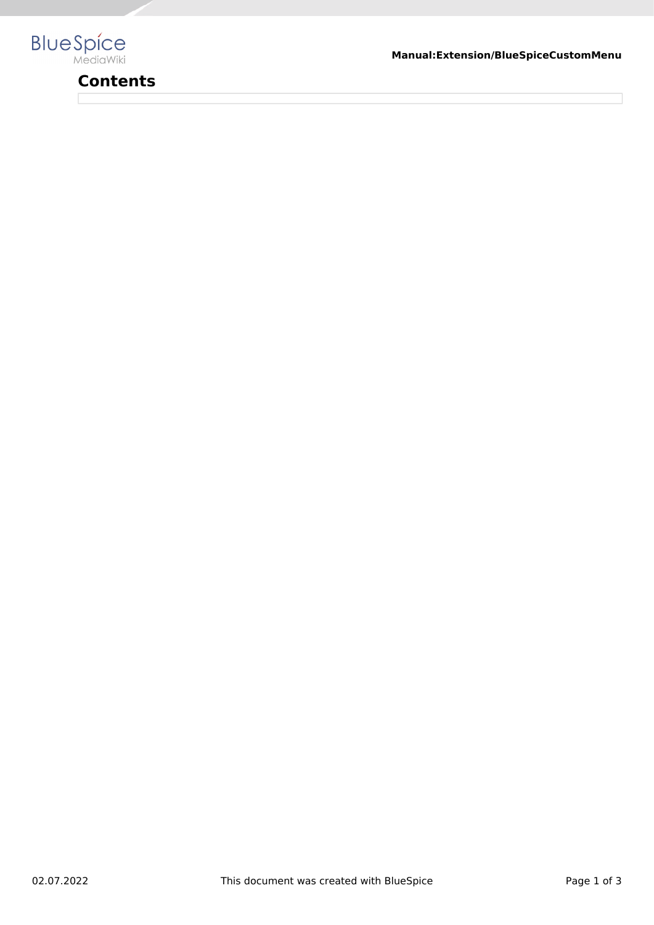

# **Contents**

**Manual:Extension/BlueSpiceCustomMenu**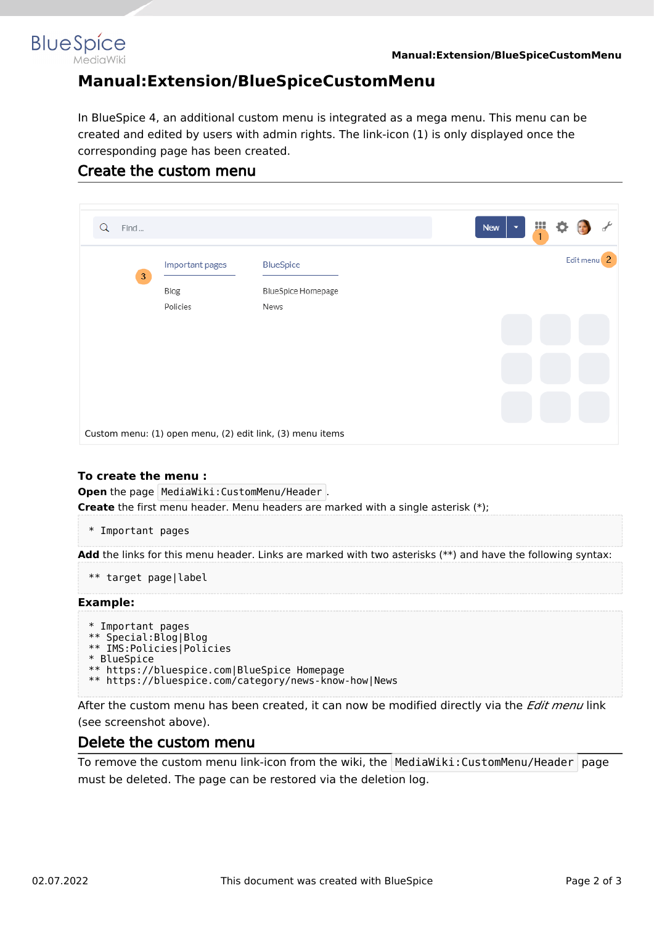

## **Manual:Extension/BlueSpiceCustomMenu**

In BlueSpice 4, an additional custom menu is integrated as a mega menu. This menu can be created and edited by users with admin rights. The link-icon (1) is only displayed once the corresponding page has been created.

### Create the custom menu

| Find<br>Q                                                 |                                     |                                                       |  |  | New<br>$\overline{\phantom{a}}$ | Ш<br>$\mathbf{1}$ |  |                        |  |
|-----------------------------------------------------------|-------------------------------------|-------------------------------------------------------|--|--|---------------------------------|-------------------|--|------------------------|--|
| $\sqrt{3}$                                                | Important pages<br>Blog<br>Policies | <b>BlueSpice</b><br><b>BlueSpice Homepage</b><br>News |  |  |                                 |                   |  | Edit menu <sup>2</sup> |  |
|                                                           |                                     |                                                       |  |  |                                 |                   |  |                        |  |
| Custom menu: (1) open menu, (2) edit link, (3) menu items |                                     |                                                       |  |  |                                 |                   |  |                        |  |

#### **To create the menu :**

**Open** the page MediaWiki: CustomMenu/Header . **Create** the first menu header. Menu headers are marked with a single asterisk (\*);

\* Important pages

**Add** the links for this menu header. Links are marked with two asterisks (\*\*) and have the following syntax:

```
** target page|label
```
#### **Example:**

```
* Important pages
** Special:Blog|Blog
** IMS:Policies|Policies
* BlueSpice
** https://bluespice.com|BlueSpice Homepage
** https://bluespice.com/category/news-know-how|News
```
After the custom menu has been created, it can now be modified directly via the *Edit menu* link (see screenshot above).

### Delete the custom menu

To remove the custom menu link-icon from the wiki, the MediaWiki: CustomMenu/Header page must be deleted. The page can be restored via the deletion log.